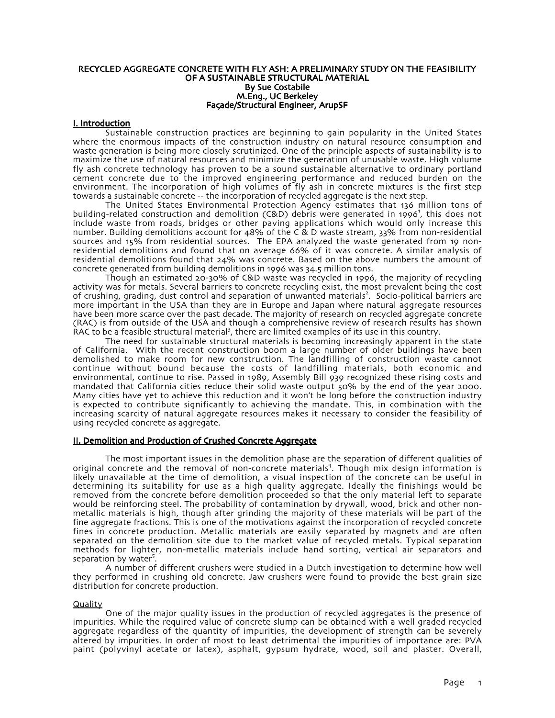## RECYCLED AGGREGATE CONCRETE WITH FLY ASH: A PRELIMINARY STUDY ON THE FEASIBILITY OF A SUSTAINABLE STRUCTURAL MATERIAL By Sue Costabile M.Eng., UC Berkeley Façade/Structural Engineer, ArupSF

# I. Introduction

Sustainable construction practices are beginning to gain popularity in the United States where the enormous impacts of the construction industry on natural resource consumption and waste generation is being more closely scrutinized. One of the principle aspects of sustainability is to maximize the use of natural resources and minimize the generation of unusable waste. High volume fly ash concrete technology has proven to be a sound sustainable alternative to ordinary portland cement concrete due to the improved engineering performance and reduced burden on the environment. The incorporation of high volumes of fly ash in concrete mixtures is the first step towards a sustainable concrete -- the incorporation of recycled aggregate is the next step.

The United States Environmental Protection Agency estimates that 136 million tons of building-related construction and demolition (C&D) debris were generated in 1996<sup>1</sup>, this does not include waste from roads, bridges or other paving applications which would only increase this number. Building demolitions account for 48% of the C & D waste stream,  $33\%$  from non-residential sources and 15% from residential sources. The EPA analyzed the waste generated from 19 nonresidential demolitions and found that on average 66% of it was concrete. A similar analysis of residential demolitions found that 24% was concrete. Based on the above numbers the amount of concrete generated from building demolitions in 1996 was 34.5 million tons.

Though an estimated 20-30% of C&D waste was recycled in 1996, the majority of recycling activity was for metals. Several barriers to concrete recycling exist, the most prevalent being the cost of crushing, grading, dust control and separation of unwanted materials<sup>2</sup>. Socio-political barriers are more important in the USA than they are in Europe and Japan where natural aggregate resources have been more scarce over the past decade. The majority of research on recycled aggregate concrete (RAC) is from outside of the USA and though a comprehensive review of research results has shown  $R$ AC to be a feasible structural material<sup>3</sup>, there are limited examples of its use in this country.

The need for sustainable structural materials is becoming increasingly apparent in the state of California. With the recent construction boom a large number of older buildings have been demolished to make room for new construction. The landfilling of construction waste cannot continue without bound because the costs of landfilling materials, both economic and environmental, continue to rise. Passed in 1989, Assembly Bill 939 recognized these rising costs and mandated that California cities reduce their solid waste output 50% by the end of the year 2000. Many cities have yet to achieve this reduction and it won't be long before the construction industry is expected to contribute significantly to achieving the mandate. This, in combination with the increasing scarcity of natural aggregate resources makes it necessary to consider the feasibility of using recycled concrete as aggregate.

# II. Demolition and Production of Crushed Concrete Aggregate

The most important issues in the demolition phase are the separation of different qualities of original concrete and the removal of non-concrete materials<sup>4</sup>. Though mix design information is likely unavailable at the time of demolition, a visual inspection of the concrete can be useful in determining its suitability for use as a high quality aggregate. Ideally the finishings would be removed from the concrete before demolition proceeded so that the only material left to separate would be reinforcing steel. The probability of contamination by drywall, wood, brick and other nonmetallic materials is high, though after grinding the majority of these materials will be part of the fine aggregate fractions. This is one of the motivations against the incorporation of recycled concrete fines in concrete production. Metallic materials are easily separated by magnets and are often separated on the demolition site due to the market value of recycled metals. Typical separation methods for lighter, non-metallic materials include hand sorting, vertical air separators and separation by water<sup>5</sup>.

A number of different crushers were studied in a Dutch investigation to determine how well they performed in crushing old concrete. Jaw crushers were found to provide the best grain size distribution for concrete production.

# **Quality**

One of the major quality issues in the production of recycled aggregates is the presence of impurities. While the required value of concrete slump can be obtained with a well graded recycled aggregate regardless of the quantity of impurities, the development of strength can be severely altered by impurities. In order of most to least detrimental the impurities of importance are: PVA paint (polyvinyl acetate or latex), asphalt, gypsum hydrate, wood, soil and plaster. Overall,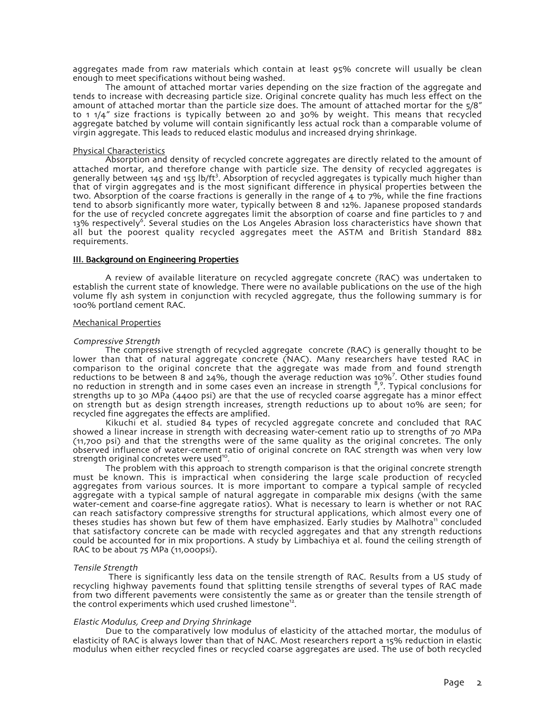aggregates made from raw materials which contain at least 95% concrete will usually be clean enough to meet specifications without being washed.

The amount of attached mortar varies depending on the size fraction of the aggregate and tends to increase with decreasing particle size. Original concrete quality has much less effect on the amount of attached mortar than the particle size does. The amount of attached mortar for the  $5/8$ " to  $1.1/4''$  size fractions is typically between 20 and 30% by weight. This means that recycled aggregate batched by volume will contain significantly less actual rock than a comparable volume of virgin aggregate. This leads to reduced elastic modulus and increased drying shrinkage.

# Physical Characteristics

Absorption and density of recycled concrete aggregates are directly related to the amount of attached mortar, and therefore change with particle size. The density of recycled aggregates is generally between 145 and 155 lb/ft<sup>3</sup>. Absorption of recycled aggregates is typically much higher than that of virgin aggregates and is the most significant difference in physical properties between the two. Absorption of the coarse fractions is generally in the range of 4 to 7%, while the fine fractions tend to absorb significantly more water, typically between 8 and 12%. Japanese proposed standards for the use of recycled concrete aggregates limit the absorption of coarse and fine particles to 7 and 13% respectively<sup>6</sup>. Several studies on the Los Angeles Abrasion loss characteristics have shown that all but the poorest quality recycled aggregates meet the ASTM and British Standard 882 requirements.

## **III. Background on Engineering Properties**

A review of available literature on recycled aggregate concrete (RAC) was undertaken to establish the current state of knowledge. There were no available publications on the use of the high volume fly ash system in conjunction with recycled aggregate, thus the following summary is for 100% portland cement RAC.

## Mechanical Properties

## Compressive Strength

The compressive strength of recycled aggregate concrete (RAC) is generally thought to be lower than that of natural aggregate concrete (NAC). Many researchers have tested RAC in comparison to the original concrete that the aggregate was made from and found strength<br>reductions to be between 8 and 24%, though the average reduction was 10%<sup>7</sup>. Other studies found no reduction in strength and in some cases even an increase in strength <sup>8,9</sup>. Typical conclusions for strengths up to 30 MPa (4400 psi) are that the use of recycled coarse aggregate has a minor effect on strength but as design strength increases, strength reductions up to about 10% are seen; for recycled fine aggregates the effects are amplified.

Kikuchi et al. studied 84 types of recycled aggregate concrete and concluded that RAC showed a linear increase in strength with decreasing water-cement ratio up to strengths of 70 MPa (11,700 psi) and that the strengths were of the same quality as the original concretes. The only observed influence of water-cement ratio of original concrete on RAC strength was when very low strength original concretes were used<sup>10</sup>

The problem with this approach to strength comparison is that the original concrete strength must be known. This is impractical when considering the large scale production of recycled aggregates from various sources. It is more important to compare a typical sample of recycled aggregate with a typical sample of natural aggregate in comparable mix designs (with the same water-cement and coarse-fine aggregate ratios). What is necessary to learn is whether or not RAC can reach satisfactory compressive strengths for structural applications, which almost every one of theses studies has shown but few of them have emphasized. Early studies by Malhotra<sup>11</sup> concluded that satisfactory concrete can be made with recycled aggregates and that any strength reductions could be accounted for in mix proportions. A study by Limbachiya et al. found the ceiling strength of RAC to be about  $75$  MPa ( $11,000$ psi).

## Tensile Strength

There is significantly less data on the tensile strength of RAC. Results from a US study of recycling highway pavements found that splitting tensile strengths of several types of RAC made from two different pavements were consistently the same as or greater than the tensile strength of the control experiments which used crushed limestone<sup>12</sup>.

## Elastic Modulus, Creep and Drying Shrinkage

Due to the comparatively low modulus of elasticity of the attached mortar, the modulus of elasticity of RAC is always lower than that of NAC. Most researchers report a 15% reduction in elastic modulus when either recycled fines or recycled coarse aggregates are used. The use of both recycled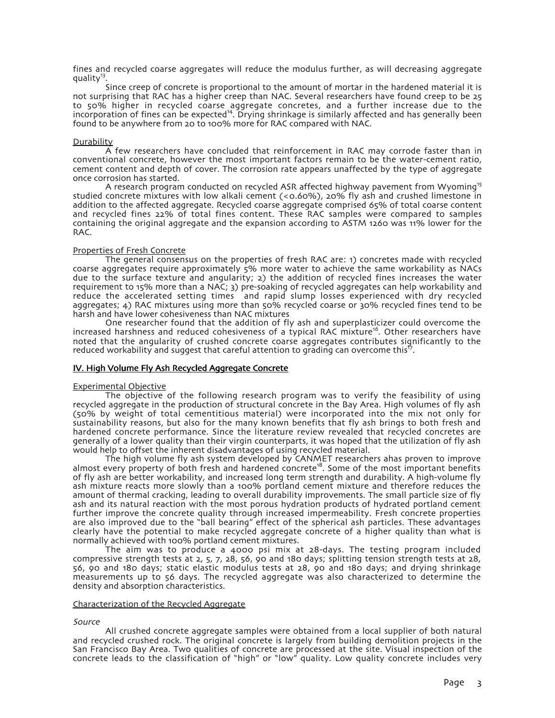fines and recycled coarse aggregates will reduce the modulus further, as will decreasing aggregate quality $^{13}$ .

Since creep of concrete is proportional to the amount of mortar in the hardened material it is not surprising that RAC has a higher creep than NAC. Several researchers have found creep to be 25 to 50% higher in recycled coarse aggregate concretes, and a further increase due to the incorporation of fines can be expected<sup>14</sup>. Drying shrinkage is similarly affected and has generally been found to be anywhere from 20 to 100% more for RAC compared with NAC.

# **Durability**

A few researchers have concluded that reinforcement in RAC may corrode faster than in conventional concrete, however the most important factors remain to be the water-cement ratio, cement content and depth of cover. The corrosion rate appears unaffected by the type of aggregate once corrosion has started.

A research program conducted on recycled ASR affected highway pavement from Wyoming<sup>15</sup> studied concrete mixtures with low alkali cement  $(\langle 0.60\% \rangle)$ , 20% fly ash and crushed limestone in addition to the affected aggregate. Recycled coarse aggregate comprised 65% of total coarse content and recycled fines 22% of total fines content. These RAC samples were compared to samples containing the original aggregate and the expansion according to ASTM 1260 was 11% lower for the RAC.

# Properties of Fresh Concrete

The general consensus on the properties of fresh RAC are: 1) concretes made with recycled coarse aggregates require approximately 5% more water to achieve the same workability as NACs due to the surface texture and angularity; 2) the addition of recycled fines increases the water requirement to 15% more than a NAC; 3) pre-soaking of recycled aggregates can help workability and reduce the accelerated setting times and rapid slump losses experienced with dry recycled aggregates; 4) RAC mixtures using more than 50% recycled coarse or 30% recycled fines tend to be harsh and have lower cohesiveness than NAC mixtures

One researcher found that the addition of fly ash and superplasticizer could overcome the increased harshness and reduced cohesiveness of a typical RAC mixture<sup>16</sup>. Other researchers have noted that the angularity of crushed concrete coarse aggregates contributes significantly to the reduced workability and suggest that careful attention to grading can overcome this<sup> $\bar{\tau}$ </sup>.

# IV. High Volume Fly Ash Recycled Aggregate Concrete

## Experimental Objective

The objective of the following research program was to verify the feasibility of using recycled aggregate in the production of structural concrete in the Bay Area. High volumes of fly ash (50% by weight of total cementitious material) were incorporated into the mix not only for sustainability reasons, but also for the many known benefits that fly ash brings to both fresh and hardened concrete performance. Since the literature review revealed that recycled concretes are generally of a lower quality than their virgin counterparts, it was hoped that the utilization of fly ash would help to offset the inherent disadvantages of using recycled material.

The high volume fly ash system developed by CANMET researchers ahas proven to improve almost every property of both fresh and hardened concrete<sup>18</sup>. Some of the most important benefits of fly ash are better workability, and increased long term strength and durability. A high-volume fly ash mixture reacts more slowly than a 100% portland cement mixture and therefore reduces the amount of thermal cracking, leading to overall durability improvements. The small particle size of fly ash and its natural reaction with the most porous hydration products of hydrated portland cement further improve the concrete quality through increased impermeability. Fresh concrete properties are also improved due to the "ball bearing" effect of the spherical ash particles. These advantages clearly have the potential to make recycled aggregate concrete of a higher quality than what is normally achieved with 100% portland cement mixtures.

The aim was to produce a 4000 psi mix at 28-days. The testing program included compressive strength tests at 2, 5, 7, 28, 56, 90 and 180 days; splitting tension strength tests at 28, 56, 90 and 180 days; static elastic modulus tests at 28, 90 and 180 days; and drying shrinkage measurements up to 56 days. The recycled aggregate was also characterized to determine the density and absorption characteristics.

## Characterization of the Recycled Aggregate

## Source

All crushed concrete aggregate samples were obtained from a local supplier of both natural and recycled crushed rock. The original concrete is largely from building demolition projects in the San Francisco Bay Area. Two qualities of concrete are processed at the site. Visual inspection of the concrete leads to the classification of "high" or "low" quality. Low quality concrete includes very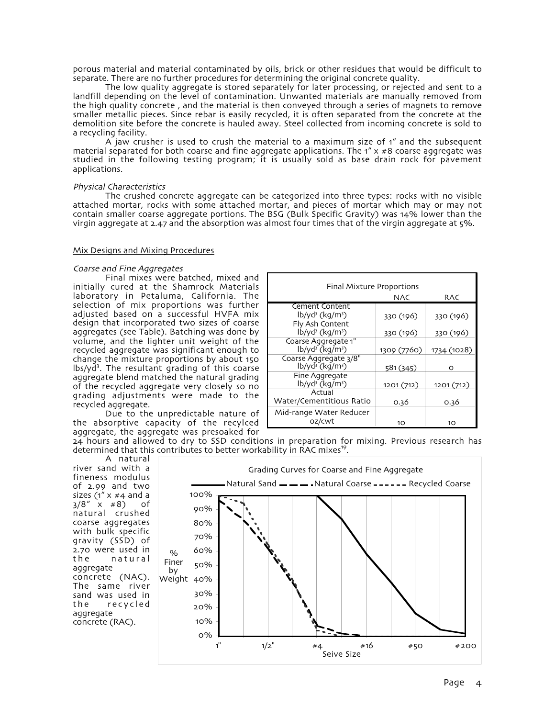porous material and material contaminated by oils, brick or other residues that would be difficult to separate. There are no further procedures for determining the original concrete quality.

The low quality aggregate is stored separately for later processing, or rejected and sent to a landfill depending on the level of contamination. Unwanted materials are manually removed from the high quality concrete, and the material is then conveyed through a series of magnets to remove smaller metallic pieces. Since rebar is easily recycled, it is often separated from the concrete at the demolition site before the concrete is hauled away. Steel collected from incoming concrete is sold to a recycling facility.

A jaw crusher is used to crush the material to a maximum size of  $1''$  and the subsequent material separated for both coarse and fine aggregate applications. The  $1'' \times #8$  coarse aggregate was studied in the following testing program; it is usually sold as base drain rock for pavement applications.

## Physical Characteristics

The crushed concrete aggregate can be categorized into three types: rocks with no visible attached mortar, rocks with some attached mortar, and pieces of mortar which may or may not contain smaller coarse aggregate portions. The BSG (Bulk Specific Gravity) was 14% lower than the virgin aggregate at 2.47 and the absorption was almost four times that of the virgin aggregate at 5%.

## Mix Designs and Mixing Procedures

# Coarse and Fine Aggregates

Final mixes were batched, mixed and initially cured at the Shamrock Materials laboratory in Petaluma, California. The selection of mix proportions was further adjusted based on a successful HVFA mix design that incorporated two sizes of coarse aggregates (see Table). Batching was done by volume, and the lighter unit weight of the recycled aggregate was significant enough to change the mixture proportions by about 150 lbs/yd<sup>3</sup>. The resultant grading of this coarse aggregate blend matched the natural grading of the recycled aggregate very closely so no grading adjustments were made to the recycled aggregate.

Due to the unpredictable nature of the absorptive capacity of the recylced aggregate, the aggregate was presoaked for

| Final Mixture Proportions                                           |             |             |  |
|---------------------------------------------------------------------|-------------|-------------|--|
|                                                                     | NAC         | <b>RAC</b>  |  |
| Cement Content                                                      |             |             |  |
| $lb$ /yd <sup>3</sup> (kg/m <sup>3</sup> )                          | 330 (196)   | 330 (196)   |  |
| Fly Ash Content<br>lb/yd <sup>3</sup> (kg/m <sup>3</sup> )          | 330 (196)   | 330 (196)   |  |
| Coarse Aggregate 1"<br>$1b/yd^3$ (kg/m <sup>3</sup> )               | 1309 (7760) | 1734 (1028) |  |
| Coarse Aggregate 3/8"<br>$1b$ /yd <sup>3</sup> (kg/m <sup>3</sup> ) | 581 (345)   | റ           |  |
| Fine Aggregate<br>$lb$ /yd <sup>3</sup> (kg/m <sup>3</sup> )        | 1201 (712)  | 1201 (712)  |  |
| Actual<br>Water/Cementitious Ratio                                  | 0.36        | 0.36        |  |
| Mid-range Water Reducer<br>oz/cwt                                   | 10          | 10          |  |

24 hours and allowed to dry to SSD conditions in preparation for mixing. Previous research has determined that this contributes to better workability in RAC mixes<sup>19</sup>.

A natural river sand with a fineness modulus of  $2.99$  and two sizes ( $1'' \times #4$  and a  $3/8''$  x  $\#8$ ) of natural crushed coarse aggregates with bulk specific gravity (SSD) of 2.70 were used in the natural aggregate concrete (NAC). The same river sand was used in the recycled aggregate concrete (RAC).

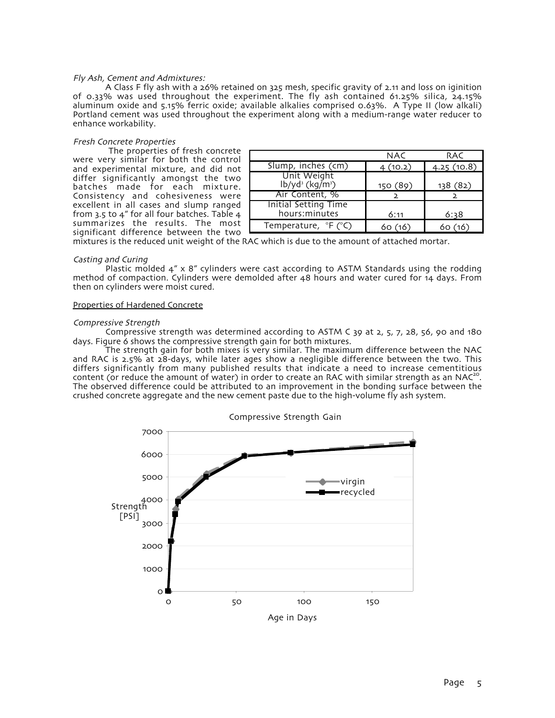## Fly Ash, Cement and Admixtures:

A Class F fly ash with a 26% retained on 325 mesh, specific gravity of 2.11 and loss on iginition of 0.33% was used throughout the experiment. The fly ash contained 61.25% silica,  $24.15\%$ aluminum oxide and 5.15% ferric oxide; available alkalies comprised 0.63%. A Type II (low alkali) Portland cement was used throughout the experiment along with a medium-range water reducer to enhance workability.

# Fresh Concrete Properties

 The properties of fresh concrete were very similar for both the control and experimental mixture, and did not differ significantly amongst the two batches made for each mixture. Consistency and cohesiveness were excellent in all cases and slump ranged from 3.5 to 4" for all four batches. Table 4 summarizes the results. The most significant difference between the two

|                                                           | NAC      | RAC        |
|-----------------------------------------------------------|----------|------------|
| Slump, inches (cm)                                        | 4(10.2)  | 4.25(10.8) |
| Unit Weight<br>$lb$ /yd <sup>3</sup> (kg/m <sup>3</sup> ) | 150 (89) | 138 (82)   |
| Air Content, %                                            |          |            |
| Initial Setting Time<br>hours: minutes                    | 6:11     | 6:38       |
| Temperature, °F (°C)                                      | 16)      | 16         |

mixtures is the reduced unit weight of the RAC which is due to the amount of attached mortar.

## Casting and Curing

Plastic molded 4" x 8" cylinders were cast according to ASTM Standards using the rodding method of compaction. Cylinders were demolded after 48 hours and water cured for 14 days. From then on cylinders were moist cured.

## Properties of Hardened Concrete

## Compressive Strength

Compressive strength was determined according to ASTM C 39 at 2, 5, 7, 28, 56, 90 and 180 days. Figure 6 shows the compressive strength gain for both mixtures.

The strength gain for both mixes is very similar. The maximum difference between the NAC and RAC is 2.5% at 28-days, while later ages show a negligible difference between the two. This differs significantly from many published results that indicate a need to increase cementitious<br>content (or reduce the amount of water) in order to create an RAC with similar strength as an NAC<sup>20</sup>. The observed difference could be attributed to an improvement in the bonding surface between the crushed concrete aggregate and the new cement paste due to the high-volume fly ash system.



Page 5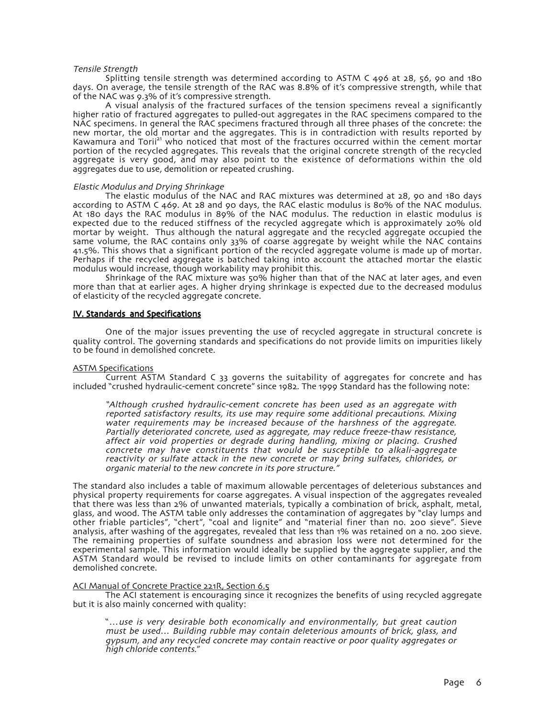## Tensile Strength

Splitting tensile strength was determined according to ASTM C 496 at  $28$ , 56, 90 and 180 days. On average, the tensile strength of the RAC was 8.8% of it's compressive strength, while that of the NAC was 9.3% of it's compressive strength.

A visual analysis of the fractured surfaces of the tension specimens reveal a significantly higher ratio of fractured aggregates to pulled-out aggregates in the RAC specimens compared to the NAC specimens. In general the RAC specimens fractured through all three phases of the concrete: the new mortar, the old mortar and the aggregates. This is in contradiction with results reported by Kawamura and Torii<sup>21</sup> who noticed that most of the fractures occurred within the cement mortar portion of the recycled aggregates. This reveals that the original concrete strength of the recycled aggregate is very good, and may also point to the existence of deformations within the old aggregates due to use, demolition or repeated crushing.

## Elastic Modulus and Drying Shrinkage

The elastic modulus of the NAC and RAC mixtures was determined at  $28$ , 90 and 180 days according to ASTM C 469. At 28 and 90 days, the RAC elastic modulus is 80% of the NAC modulus. At 180 days the RAC modulus in 89% of the NAC modulus. The reduction in elastic modulus is expected due to the reduced stiffness of the recycled aggregate which is approximately 20% old mortar by weight. Thus although the natural aggregate and the recycled aggregate occupied the same volume, the RAC contains only 33% of coarse aggregate by weight while the NAC contains 41.5%. This shows that a significant portion of the recycled aggregate volume is made up of mortar. Perhaps if the recycled aggregate is batched taking into account the attached mortar the elastic modulus would increase, though workability may prohibit this.

Shrinkage of the RAC mixture was 50% higher than that of the NAC at later ages, and even more than that at earlier ages. A higher drying shrinkage is expected due to the decreased modulus of elasticity of the recycled aggregate concrete.

# IV. Standards and Specifications

One of the major issues preventing the use of recycled aggregate in structural concrete is quality control. The governing standards and specifications do not provide limits on impurities likely to be found in demolished concrete.

## ASTM Specifications

Current ASTM Standard C 33 governs the suitability of aggregates for concrete and has included "crushed hydraulic-cement concrete" since 1982. The 1999 Standard has the following note:

"Although crushed hydraulic-cement concrete has been used as an aggregate with reported satisfactory results, its use may require some additional precautions. Mixing water requirements may be increased because of the harshness of the aggregate. Partially deteriorated concrete, used as aggregate, may reduce freeze-thaw resistance, affect air void properties or degrade during handling, mixing or placing. Crushed concrete may have constituents that would be susceptible to alkali-aggregate reactivity or sulfate attack in the new concrete or may bring sulfates, chlorides, or organic material to the new concrete in its pore structure.'

The standard also includes a table of maximum allowable percentages of deleterious substances and physical property requirements for coarse aggregates. A visual inspection of the aggregates revealed that there was less than 2% of unwanted materials, typically a combination of brick, asphalt, metal, glass, and wood. The ASTM table only addresses the contamination of aggregates by "clay lumps and other friable particles", "chert", "coal and lignite" and "material finer than no. 200 sieve". Sieve analysis, after washing of the aggregates, revealed that less than 1% was retained on a no. 200 sieve. The remaining properties of sulfate soundness and abrasion loss were not determined for the experimental sample. This information would ideally be supplied by the aggregate supplier, and the ASTM Standard would be revised to include limits on other contaminants for aggregate from demolished concrete.

## ACI Manual of Concrete Practice 221R, Section 6.5

The ACI statement is encouraging since it recognizes the benefits of using recycled aggregate but it is also mainly concerned with quality:

"...use is very desirable both economically and environmentally, but great caution must be used... Building rubble may contain deleterious amounts of brick, glass, and gypsum, and any recycled concrete may contain reactive or poor quality aggregates or high chloride contents."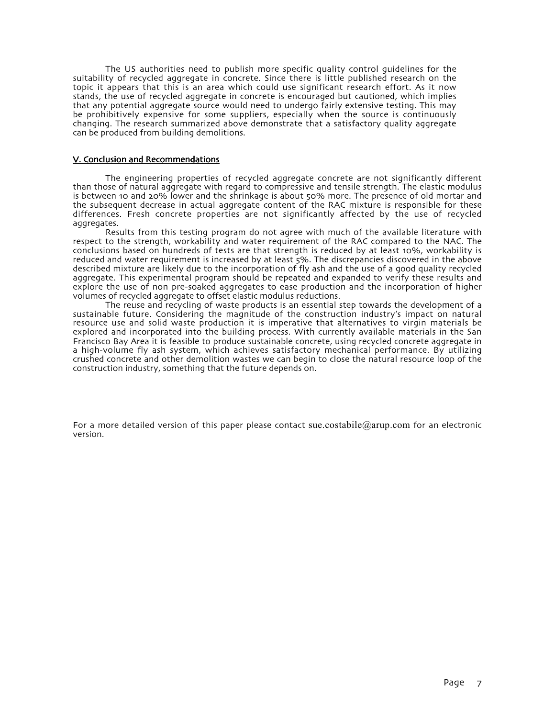The US authorities need to publish more specific quality control guidelines for the suitability of recycled aggregate in concrete. Since there is little published research on the topic it appears that this is an area which could use significant research effort. As it now stands, the use of recycled aggregate in concrete is encouraged but cautioned, which implies that any potential aggregate source would need to undergo fairly extensive testing. This may be prohibitively expensive for some suppliers, especially when the source is continuously changing. The research summarized above demonstrate that a satisfactory quality aggregate can be produced from building demolitions.

# V. Conclusion and Recommendations

The engineering properties of recycled aggregate concrete are not significantly different than those of natural aggregate with regard to compressive and tensile strength. The elastic modulus is between 10 and 20% lower and the shrinkage is about 50% more. The presence of old mortar and the subsequent decrease in actual aggregate content of the RAC mixture is responsible for these differences. Fresh concrete properties are not significantly affected by the use of recycled aggregates.

Results from this testing program do not agree with much of the available literature with respect to the strength, workability and water requirement of the RAC compared to the NAC. The conclusions based on hundreds of tests are that strength is reduced by at least 10%, workability is reduced and water requirement is increased by at least 5%. The discrepancies discovered in the above described mixture are likely due to the incorporation of fly ash and the use of a good quality recycled aggregate. This experimental program should be repeated and expanded to verify these results and explore the use of non pre-soaked aggregates to ease production and the incorporation of higher volumes of recycled aggregate to offset elastic modulus reductions.

The reuse and recycling of waste products is an essential step towards the development of a sustainable future. Considering the magnitude of the construction industry's impact on natural resource use and solid waste production it is imperative that alternatives to virgin materials be explored and incorporated into the building process. With currently available materials in the San Francisco Bay Area it is feasible to produce sustainable concrete, using recycled concrete aggregate in a high-volume fly ash system, which achieves satisfactory mechanical performance. By utilizing crushed concrete and other demolition wastes we can begin to close the natural resource loop of the construction industry, something that the future depends on.

For a more detailed version of this paper please contact sue.costabile@arup.com for an electronic version.